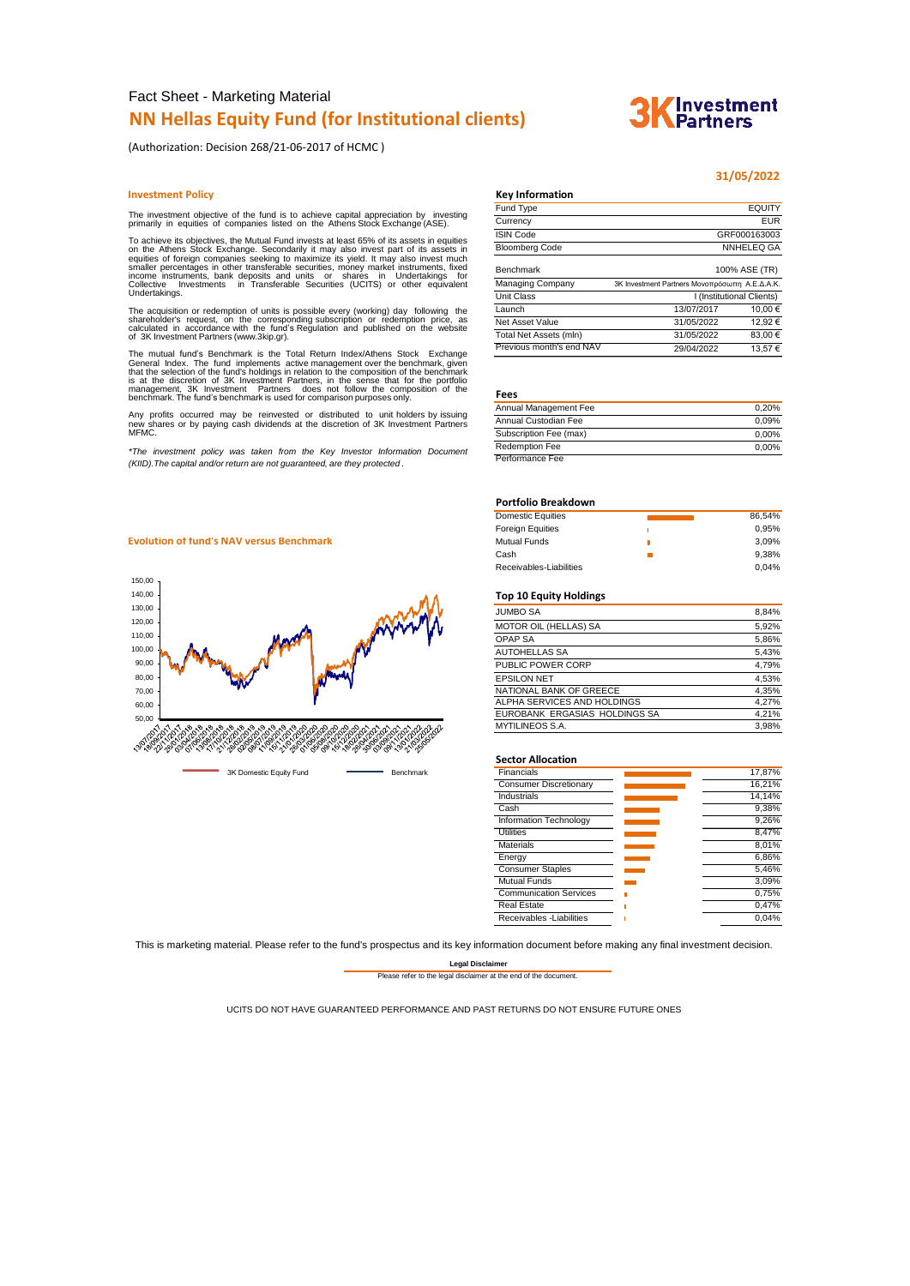# Fact Sheet - Marketing Material **NN Hellas Equity Fund (for Institutional clients)**

(Authorization: Decision 268/21-06-2017 of HCMC )

#### **Investment Policy Key Info**

The investment objective of the fund is to achieve capital appreciation by investing primarily in equities of companies listed on the Athens Stock Exchange (ASE).

To achieve its objectives, the Mutual Fund invests at least 65% of its assets in equities<br>on the Athens Stock Exchange. Secondarily it may also invest part of its assets in<br>equities of foreign companies seeking to maximize Collective In<br>Undertakings.

The acquisition or redemption of units is possible every (working) day following the<br>shareholder's request, on the corresponding subscription or redemption price, as<br>calculated in accordance with the fund's Regulation and

The mutual fund's Benchmark is the Total Return Index/Athens Stock Exchange<br>General Index. The fund implements active management over the benchmark, given<br>that the selection of the fund's holdings in relation to the compos

Any profits occurred may be reinvested or distributed to unit holders by issuing new shares or by paying cash dividends at the discretion of 3K Investment Partners MFMC.

*\*The investment policy was taken from the Key Investor Information Document (KIID).The capital and/or return are not guaranteed, are they protected .*

|                        | 31/05/2022    |
|------------------------|---------------|
| <b>Key Information</b> |               |
| Fund Type              | <b>EQUITY</b> |
| Currancy               | FLIR          |

| Currency                 |                                               | EUR     |  |
|--------------------------|-----------------------------------------------|---------|--|
| <b>ISIN Code</b>         | GRF000163003                                  |         |  |
| <b>Bloomberg Code</b>    | <b>NNHELEQ GA</b>                             |         |  |
| <b>Benchmark</b>         | 100% ASE (TR)                                 |         |  |
| Managing Company         | 3K Investment Partners Μονοπρόσωπη Α.Ε.Δ.Α.Κ. |         |  |
| <b>Unit Class</b>        | I (Institutional Clients)                     |         |  |
| Launch                   | 13/07/2017                                    | 10.00€  |  |
| Net Asset Value          | 31/05/2022                                    | 12.92€  |  |
| Total Net Assets (mln)   | 31/05/2022                                    | 83,00€  |  |
| Previous month's end NAV | 29/04/2022                                    | 13.57 € |  |
|                          |                                               |         |  |

**Fees**

| Annual Management Fee  | 0.20%    |
|------------------------|----------|
| Annual Custodian Fee   | 0.09%    |
| Subscription Fee (max) | $0.00\%$ |
| <b>Redemption Fee</b>  | 0.00%    |
| Performance Fee        |          |

#### **Portfolio Breakdown**

| <b>Domestic Equities</b> | 86.54% |
|--------------------------|--------|
| <b>Foreign Equities</b>  | 0.95%  |
| <b>Mutual Funds</b>      | 3.09%  |
| Cash                     | 9.38%  |
| Receivables-Liabilities  | 0.04%  |

## **Top 10 Equity Holdings**

| <b>JUMBO SA</b>               | 8,84% |
|-------------------------------|-------|
| MOTOR OIL (HELLAS) SA         | 5,92% |
| <b>OPAP SA</b>                | 5,86% |
| <b>AUTOHELLAS SA</b>          | 5,43% |
| PUBLIC POWER CORP             | 4,79% |
| <b>EPSILON NET</b>            | 4,53% |
| NATIONAL BANK OF GREECE       | 4,35% |
| ALPHA SERVICES AND HOLDINGS   | 4.27% |
| EUROBANK ERGASIAS HOLDINGS SA | 4,21% |
| MYTILINEOS S.A.               | 3,98% |

#### **Sector Allocation**

| Financials                    | 17,87% |
|-------------------------------|--------|
| <b>Consumer Discretionary</b> | 16.21% |
| <b>Industrials</b>            | 14.14% |
| Cash                          | 9.38%  |
| Information Technology        | 9.26%  |
| Utilities                     | 8.47%  |
| <b>Materials</b>              | 8.01%  |
| Energy                        | 6,86%  |
| <b>Consumer Staples</b>       | 5,46%  |
| <b>Mutual Funds</b>           | 3.09%  |
| <b>Communication Services</b> | 0.75%  |
| <b>Real Estate</b>            | 0.47%  |
| Receivables - Liabilities     | 0.04%  |
|                               |        |

This is marketing material. Please refer to the fund's prospectus and its key information document before making any final investment decision.

#### **Legal Disclaime** Please refer to the legal disclaimer at the end of the document.

UCITS DO NOT HAVE GUARANTEED PERFORMANCE AND PAST RETURNS DO NOT ENSURE FUTURE ONES

### **Evolution of fund's NAV versus Benchmark**



# **Investment** artners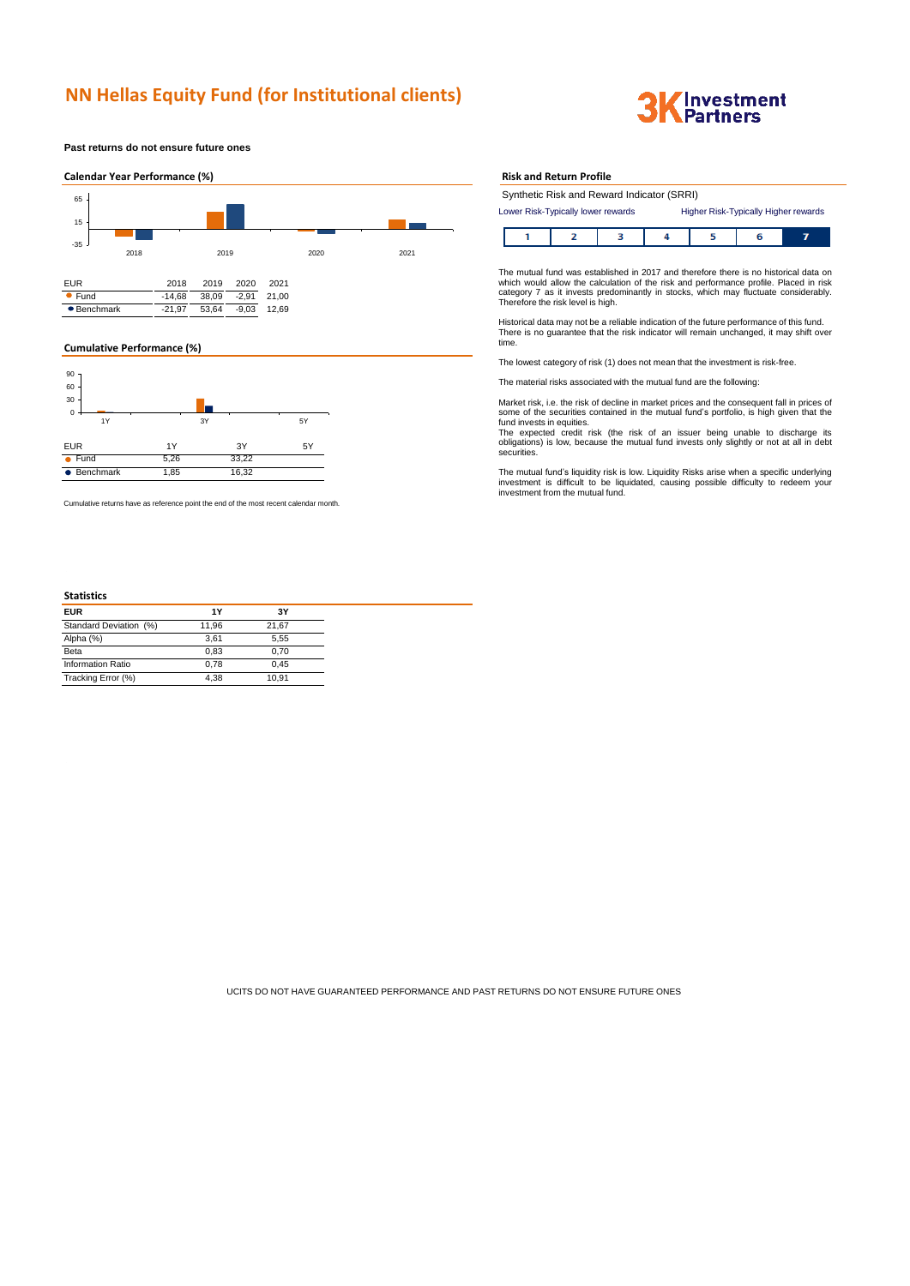# **NN Hellas Equity Fund (for Institutional clients)**



**Past returns do not ensure future ones**



## **Cumulative Performance (%)**



Cumulative returns have as reference point the end of the most recent calendar month.

## **Statistics**

#### **Risk and Return Profile**

|                                                                            | Synthetic Risk and Reward Indicator (SRRI) |  |  |  |  |  |
|----------------------------------------------------------------------------|--------------------------------------------|--|--|--|--|--|
| Higher Risk-Typically Higher rewards<br>Lower Risk-Typically lower rewards |                                            |  |  |  |  |  |
|                                                                            |                                            |  |  |  |  |  |
|                                                                            |                                            |  |  |  |  |  |
|                                                                            |                                            |  |  |  |  |  |

The mutual fund was established in 2017 and therefore there is no historical data on which would allow the calculation of the risk and performance profile. Placed in risk category 7 as it invests predominantly in stocks, which may fluctuate considerably. Therefore the risk level is high.

Historical data may not be a reliable indication of the future performance of this fund. There is no guarantee that the risk indicator will remain unchanged, it may shift over time.

The lowest category of risk (1) does not mean that the investment is risk-free.

The material risks associated with the mutual fund are the following:

Market risk, i.e. the risk of decline in market prices and the consequent fall in prices of some of the securities contained in the mutual fund's portfolio, is high given that the fund invests in equities.

The expected credit risk (the risk of an issuer being unable to discharge its obligations) is low, because the mutual fund invests only slightly or not at all in debt securities.

The mutual fund's liquidity risk is low. Liquidity Risks arise when a specific underlying investment is difficult to be liquidated, causing possible difficulty to redeem your investment from the mutual fund.

UCITS DO NOT HAVE GUARANTEED PERFORMANCE AND PAST RETURNS DO NOT ENSURE FUTURE ONES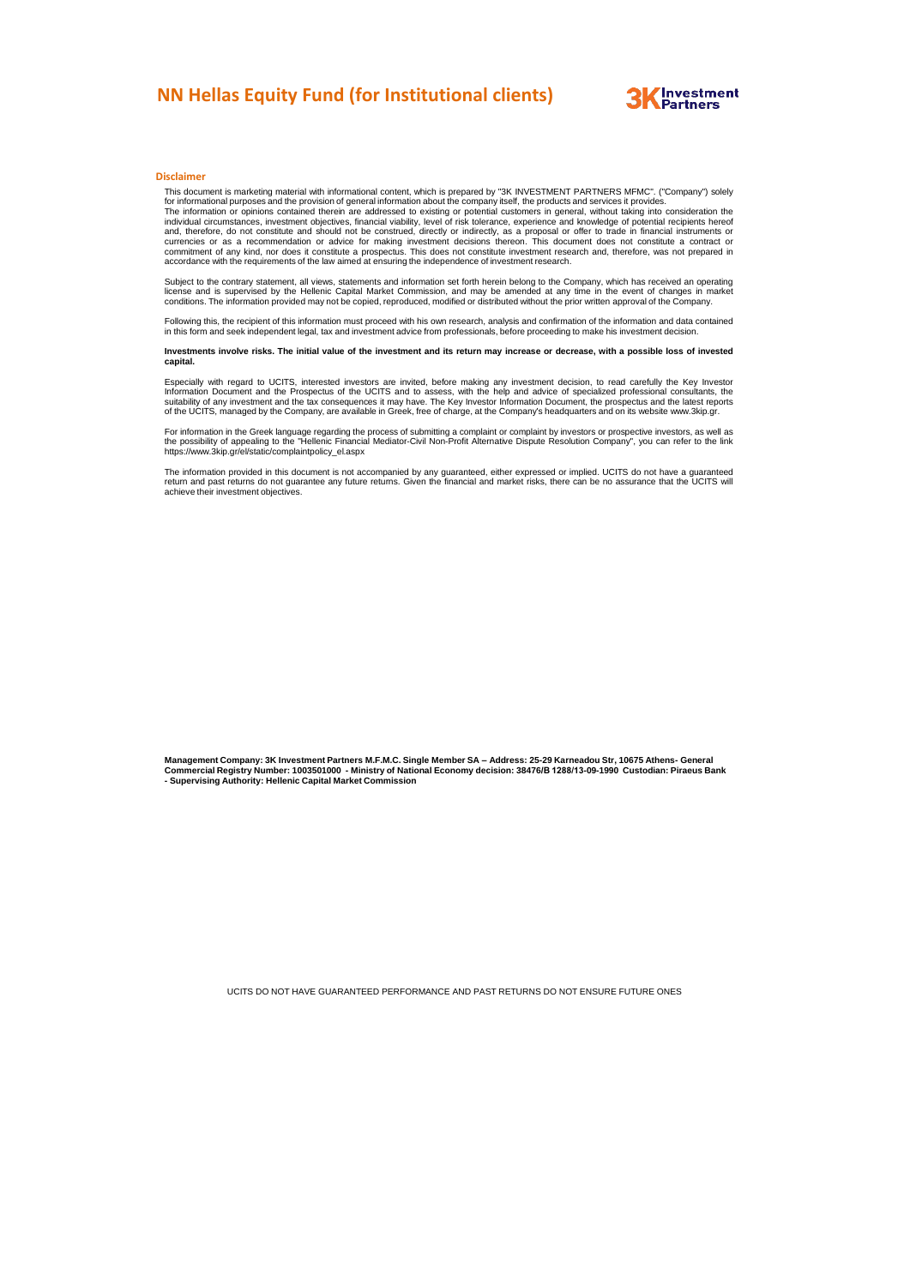# **NN Hellas Equity Fund (for Institutional clients)**



# **Disclaimer**

This document is marketing material with informational content, which is prepared by "3K INVESTMENT PARTNERS MFMC". ("Company") solely<br>for informational purposes and the provision of general information about the company i

The information or opinions contained therein are addressed to existing or potential customers in general, without taking into consideration the individual circumstances, investment objectives, financial viability, level o

Subject to the contrary statement, all views, statements and information set forth herein belong to the Company, which has received an operating<br>license and is supervised by the Hellenic Capital Market Commission, and may

Following this, the recipient of this information must proceed with his own research, analysis and confirmation of the information and data contained in this form and seek independent legal, tax and investment advice from professionals, before proceeding to make his investment decision.

#### Investments involve risks. The initial value of the investment and its return may increase or decrease, with a possible loss of invested **capital.**

Especially with regard to UCITS, interested investors are invited, before making any investment decision, to read carefully the Key Investor<br>Information Document and the Prospectus of the UCITS and to assess, with the help

For information in the Greek language regarding the process of submitting a complaint or complaint by investors or prospective investors, as well as<br>the possibility of appealing to the "Hellenic Financial Mediator-Civil No https://www.3kip.gr/el/static/complaintpolicy\_el.aspx

The information provided in this document is not accompanied by any guaranteed, either expressed or implied. UCITS do not have a guaranteed<br>retum and past returns do not guarantee any future returns. Given the financial an

Management Company: 3K Investment Partners M.F.M.C. Single Member SA – Address: 25-29 Karneadou Str, 10675 Athens- General<br>Commercial Registry Number: 1003501000 - Ministry of National Economy decision: 38476/B 1288/13-09-

UCITS DO NOT HAVE GUARANTEED PERFORMANCE AND PAST RETURNS DO NOT ENSURE FUTURE ONES